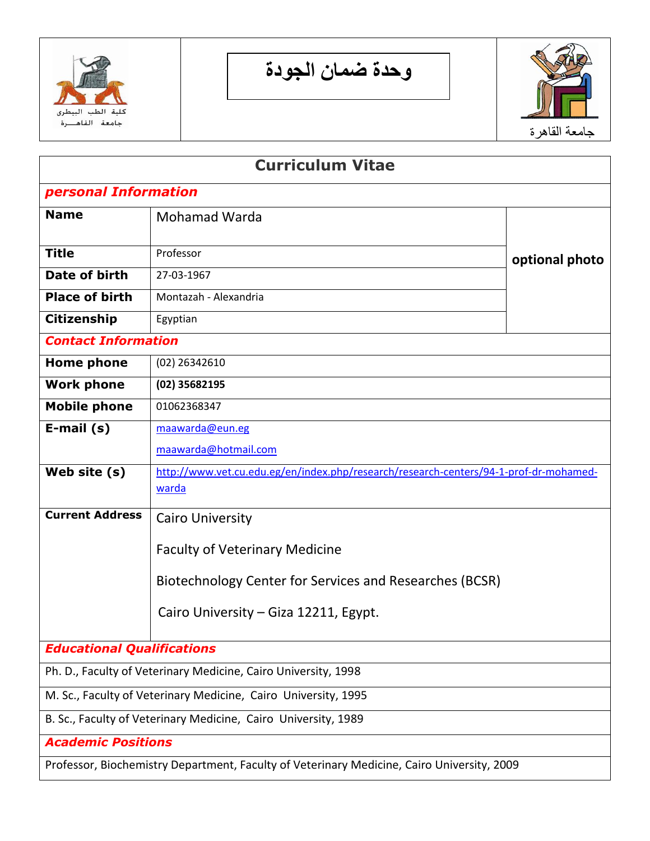

**وحدة ضمان الجودة**



| <b>Curriculum Vitae</b>           |                                                                                                       |                |  |  |  |  |  |
|-----------------------------------|-------------------------------------------------------------------------------------------------------|----------------|--|--|--|--|--|
| personal Information              |                                                                                                       |                |  |  |  |  |  |
| <b>Name</b>                       | Mohamad Warda                                                                                         |                |  |  |  |  |  |
| <b>Title</b>                      | Professor                                                                                             | optional photo |  |  |  |  |  |
| Date of birth                     | 27-03-1967                                                                                            |                |  |  |  |  |  |
| <b>Place of birth</b>             | Montazah - Alexandria                                                                                 |                |  |  |  |  |  |
| <b>Citizenship</b>                | Egyptian                                                                                              |                |  |  |  |  |  |
| <b>Contact Information</b>        |                                                                                                       |                |  |  |  |  |  |
| <b>Home phone</b>                 | (02) 26342610                                                                                         |                |  |  |  |  |  |
| <b>Work phone</b>                 | (02) 35682195                                                                                         |                |  |  |  |  |  |
| <b>Mobile phone</b>               | 01062368347                                                                                           |                |  |  |  |  |  |
| E-mail $(s)$                      | maawarda@eun.eg                                                                                       |                |  |  |  |  |  |
|                                   | maawarda@hotmail.com                                                                                  |                |  |  |  |  |  |
| Web site (s)                      | http://www.vet.cu.edu.eg/en/index.php/research/research-centers/94-1-prof-dr-mohamed-<br><u>warda</u> |                |  |  |  |  |  |
| <b>Current Address</b>            | <b>Cairo University</b>                                                                               |                |  |  |  |  |  |
|                                   | <b>Faculty of Veterinary Medicine</b><br>Biotechnology Center for Services and Researches (BCSR)      |                |  |  |  |  |  |
|                                   | Cairo University – Giza 12211, Egypt.                                                                 |                |  |  |  |  |  |
| <b>Educational Qualifications</b> |                                                                                                       |                |  |  |  |  |  |
|                                   | Ph. D., Faculty of Veterinary Medicine, Cairo University, 1998                                        |                |  |  |  |  |  |
|                                   | M. Sc., Faculty of Veterinary Medicine, Cairo University, 1995                                        |                |  |  |  |  |  |
|                                   | B. Sc., Faculty of Veterinary Medicine, Cairo University, 1989                                        |                |  |  |  |  |  |
| <b>Academic Positions</b>         |                                                                                                       |                |  |  |  |  |  |
|                                   | Professor, Biochemistry Department, Faculty of Veterinary Medicine, Cairo University, 2009            |                |  |  |  |  |  |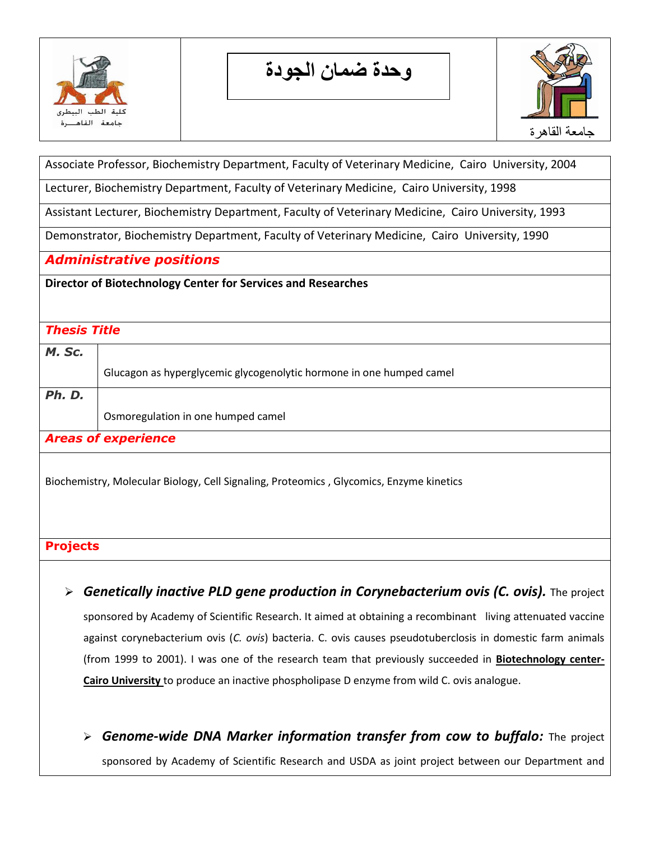

**وحدة ضمان الجودة**



Associate Professor, Biochemistry Department, Faculty of Veterinary Medicine, Cairo University, 2004

Lecturer, Biochemistry Department, Faculty of Veterinary Medicine, Cairo University, 1998

Assistant Lecturer, Biochemistry Department, Faculty of Veterinary Medicine, Cairo University, 1993

Demonstrator, Biochemistry Department, Faculty of Veterinary Medicine, Cairo University, 1990

*Administrative positions*

**Director of Biotechnology Center for Services and Researches**

## *Thesis Title*

| M. Sc.                     |                                                                      |  |  |  |
|----------------------------|----------------------------------------------------------------------|--|--|--|
|                            | Glucagon as hyperglycemic glycogenolytic hormone in one humped camel |  |  |  |
| Ph. D.                     |                                                                      |  |  |  |
|                            | Osmoregulation in one humped camel                                   |  |  |  |
| <b>Areas of experience</b> |                                                                      |  |  |  |

Biochemistry, Molecular Biology, Cell Signaling, Proteomics , Glycomics, Enzyme kinetics

## **Projects**

- **> Genetically inactive PLD gene production in Corynebacterium ovis (C. ovis).** The project sponsored by Academy of Scientific Research. It aimed at obtaining a recombinant living attenuated vaccine against corynebacterium ovis (*C. ovis*) bacteria. C. ovis causes pseudotuberclosis in domestic farm animals (from 1999 to 2001). I was one of the research team that previously succeeded in **Biotechnology center-Cairo University** to produce an inactive phospholipase D enzyme from wild C. ovis analogue.
	- *Genome-wide DNA Marker information transfer from cow to buffalo:* The project sponsored by Academy of Scientific Research and USDA as joint project between our Department and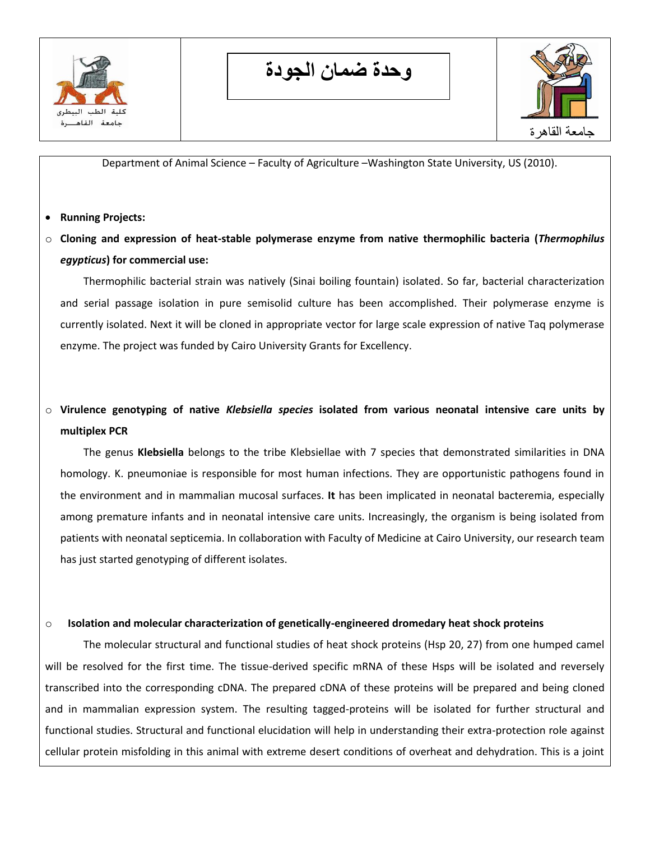

**وحدة ضمان الجودة**



Department of Animal Science – Faculty of Agriculture –Washington State University, US (2010).

- **Running Projects:**
- o **Cloning and expression of heat-stable polymerase enzyme from native thermophilic bacteria (***Thermophilus egypticus***) for commercial use:**

Thermophilic bacterial strain was natively (Sinai boiling fountain) isolated. So far, bacterial characterization and serial passage isolation in pure semisolid culture has been accomplished. Their polymerase enzyme is currently isolated. Next it will be cloned in appropriate vector for large scale expression of native Taq polymerase enzyme. The project was funded by Cairo University Grants for Excellency.

o **Virulence genotyping of native** *Klebsiella species* **isolated from various neonatal intensive care units by multiplex PCR**

The genus **Klebsiella** belongs to the tribe Klebsiellae with 7 species that demonstrated similarities in DNA homology. K. pneumoniae is responsible for most human infections. They are opportunistic pathogens found in the environment and in mammalian mucosal surfaces. **It** has been implicated in neonatal bacteremia, especially among premature infants and in neonatal intensive care units. Increasingly, the organism is being isolated from patients with neonatal septicemia. In collaboration with Faculty of Medicine at Cairo University, our research team has just started genotyping of different isolates.

#### o **Isolation and molecular characterization of genetically-engineered dromedary heat shock proteins**

The molecular structural and functional studies of heat shock proteins (Hsp 20, 27) from one humped camel will be resolved for the first time. The tissue-derived specific mRNA of these Hsps will be isolated and reversely transcribed into the corresponding cDNA. The prepared cDNA of these proteins will be prepared and being cloned and in mammalian expression system. The resulting tagged-proteins will be isolated for further structural and functional studies. Structural and functional elucidation will help in understanding their extra-protection role against cellular protein misfolding in this animal with extreme desert conditions of overheat and dehydration. This is a joint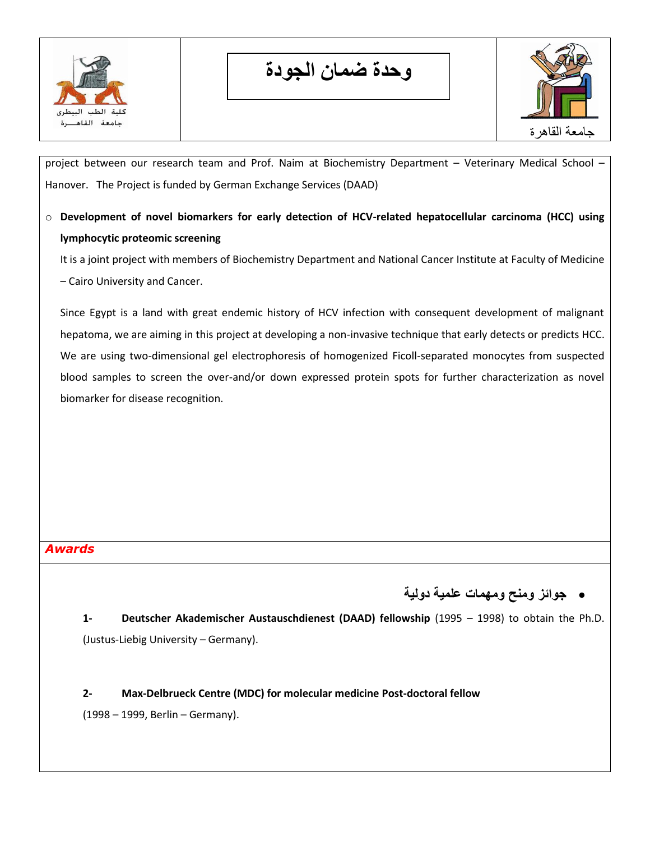

**وحدة ضمان الجودة**



project between our research team and Prof. Naim at Biochemistry Department – Veterinary Medical School – Hanover. The Project is funded by German Exchange Services (DAAD)

o **Development of novel biomarkers for early detection of HCV-related hepatocellular carcinoma (HCC) using lymphocytic proteomic screening**

It is a joint project with members of Biochemistry Department and National Cancer Institute at Faculty of Medicine – Cairo University and Cancer.

Since Egypt is a land with great endemic history of HCV infection with consequent development of malignant hepatoma, we are aiming in this project at developing a non-invasive technique that early detects or predicts HCC. We are using two-dimensional gel electrophoresis of homogenized Ficoll-separated monocytes from suspected blood samples to screen the over-and/or down expressed protein spots for further characterization as novel biomarker for disease recognition.

## *Awards*

**جوائز ومنح ومهمات علمية دولية** 

**1- Deutscher Akademischer Austauschdienest (DAAD) fellowship** (1995 – 1998) to obtain the Ph.D. (Justus-Liebig University – Germany).

**2- Max-Delbrueck Centre (MDC) for molecular medicine Post-doctoral fellow**

(1998 – 1999, Berlin – Germany).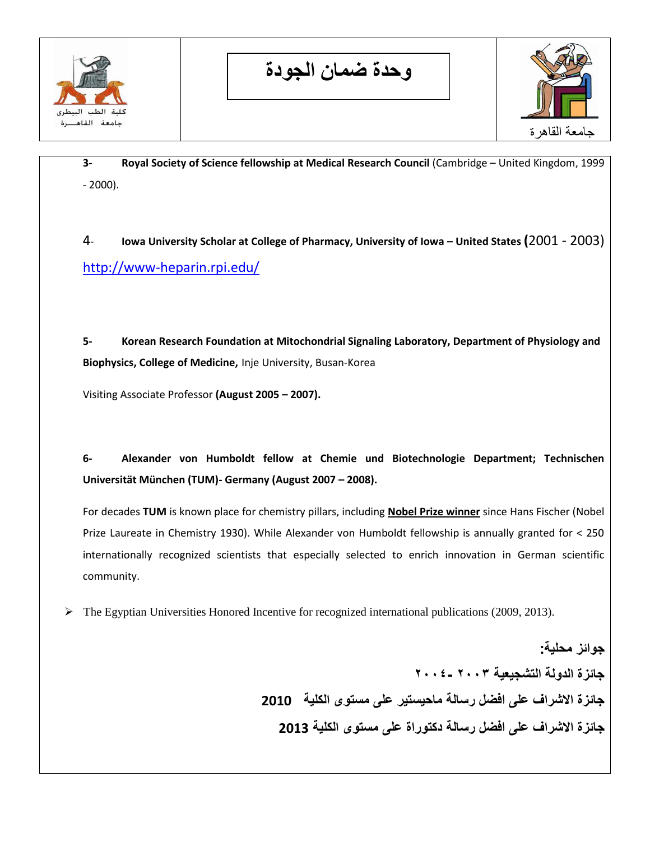

**وحدة ضمان الجودة**



**3- Royal Society of Science fellowship at Medical Research Council** (Cambridge – United Kingdom, 1999 - 2000).

4- **Iowa University Scholar at College of Pharmacy, University of Iowa – United States (**2001 - 2003) <http://www-heparin.rpi.edu/>

**5- Korean Research Foundation at Mitochondrial Signaling Laboratory, Department of Physiology and Biophysics, College of Medicine,** Inje University, Busan-Korea

Visiting Associate Professor **(August 2005 – 2007).**

**6- Alexander von Humboldt fellow at Chemie und Biotechnologie Department; Technischen Universität München (TUM)- Germany (August 2007 – 2008).** 

For decades **TUM** is known place for chemistry pillars, including **Nobel Prize winner** since Hans Fischer (Nobel Prize Laureate in Chemistry 1930). While Alexander von Humboldt fellowship is annually granted for < 250 internationally recognized scientists that especially selected to enrich innovation in German scientific community.

 $\triangleright$  The Egyptian Universities Honored Incentive for recognized international publications (2009, 2013).

**جوائز محلية: جائزة الدولة التشجيعية 3002 3002- جائزة االشراف على افضل رسالة ماحيستير على مستوى الكلية 2010 جائزة االشراف على افضل رسالة دكتوراة على مستوى الكلية 2013**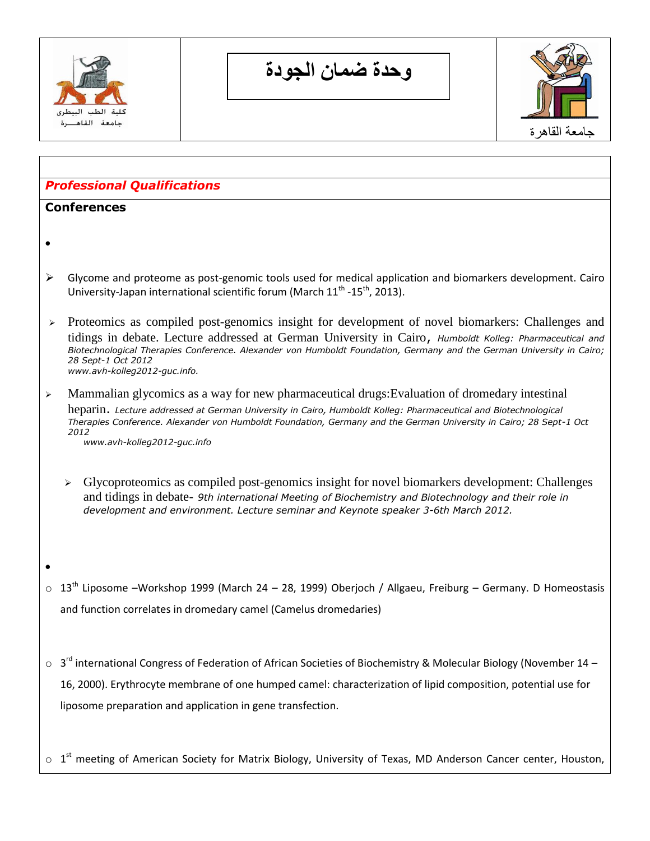

**وحدة ضمان الجودة**



## *Professional Qualifications*

#### **Conferences**

 $\bullet$ 

 $\bullet$ 

- $\triangleright$  Glycome and proteome as post-genomic tools used for medical application and biomarkers development. Cairo University-Japan international scientific forum (March  $11^{\text{th}}$  -15<sup>th</sup>, 2013).
- $\geq$  Proteomics as compiled post-genomics insight for development of novel biomarkers: Challenges and tidings in debate. Lecture addressed at German University in Cairo, *Humboldt Kolleg: Pharmaceutical and Biotechnological Therapies Conference. Alexander von Humboldt Foundation, Germany and the German University in Cairo; 28 Sept-1 Oct 2012 www.avh-kolleg2012-guc.info.*
- $\geq$  Mammalian glycomics as a way for new pharmaceutical drugs: Evaluation of dromedary intestinal heparin. *Lecture addressed at German University in Cairo, Humboldt Kolleg: Pharmaceutical and Biotechnological Therapies Conference. Alexander von Humboldt Foundation, Germany and the German University in Cairo; 28 Sept-1 Oct 2012*

*www.avh-kolleg2012-guc.info* 

- $\triangleright$  [Glycoproteomics](http://en.wikipedia.org/wiki/Glycoproteomics) as compiled post-genomics insight for novel biomarkers development: Challenges and tidings in debate- *9th international Meeting of Biochemistry and Biotechnology and their role in development and environment. Lecture seminar and Keynote speaker 3-6th March 2012.*
- $\circ$  13<sup>th</sup> Liposome –Workshop 1999 (March 24 28, 1999) Oberjoch / Allgaeu, Freiburg Germany. D Homeostasis and function correlates in dromedary camel (Camelus dromedaries)
- $\circ$  3<sup>rd</sup> international Congress of Federation of African Societies of Biochemistry & Molecular Biology (November 14 16, 2000). Erythrocyte membrane of one humped camel: characterization of lipid composition, potential use for liposome preparation and application in gene transfection.

 $\circ$  1<sup>st</sup> meeting of American Society for Matrix Biology, University of Texas, MD Anderson Cancer center, Houston,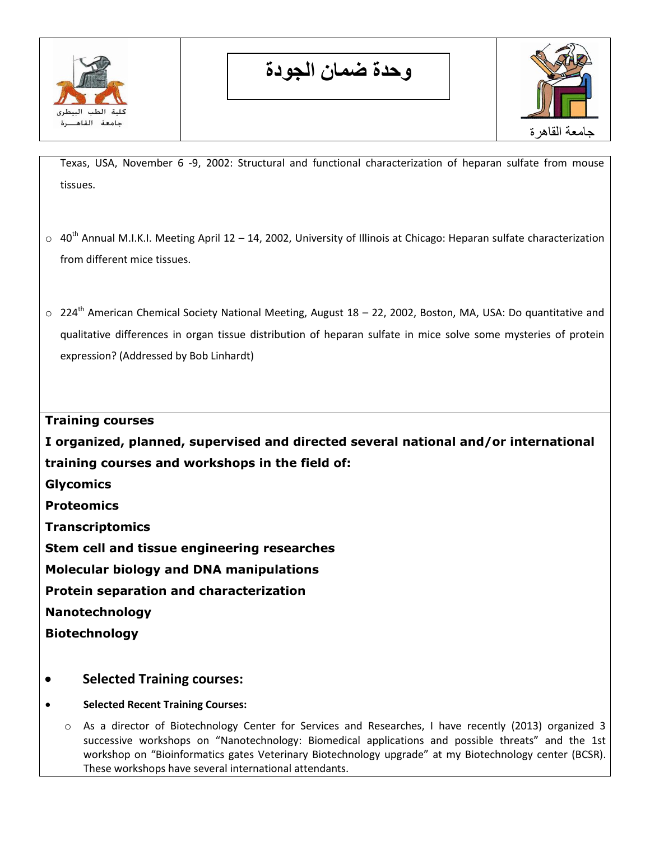

**وحدة ضمان الجودة**



Texas, USA, November 6 -9, 2002: Structural and functional characterization of heparan sulfate from mouse tissues.

- $\circ$  40<sup>th</sup> Annual M.I.K.I. Meeting April 12 14, 2002, University of Illinois at Chicago: Heparan sulfate characterization from different mice tissues.
- o 224<sup>th</sup> American Chemical Society National Meeting, August 18 22, 2002, Boston, MA, USA: Do quantitative and qualitative differences in organ tissue distribution of heparan sulfate in mice solve some mysteries of protein expression? (Addressed by Bob Linhardt)

**Training courses**

**I organized, planned, supervised and directed several national and/or international training courses and workshops in the field of:**

- **Glycomics**
- **Proteomics**

**Transcriptomics**

**Stem cell and tissue engineering researches**

**Molecular biology and DNA manipulations**

**Protein separation and characterization**

**Nanotechnology** 

**Biotechnology**

- **Selected Training courses:**
- **Selected Recent Training Courses:**
	- o As a director of Biotechnology Center for Services and Researches, I have recently (2013) organized 3 successive workshops on "Nanotechnology: Biomedical applications and possible threats" and the 1st workshop on "Bioinformatics gates Veterinary Biotechnology upgrade" at my Biotechnology center (BCSR). These workshops have several international attendants.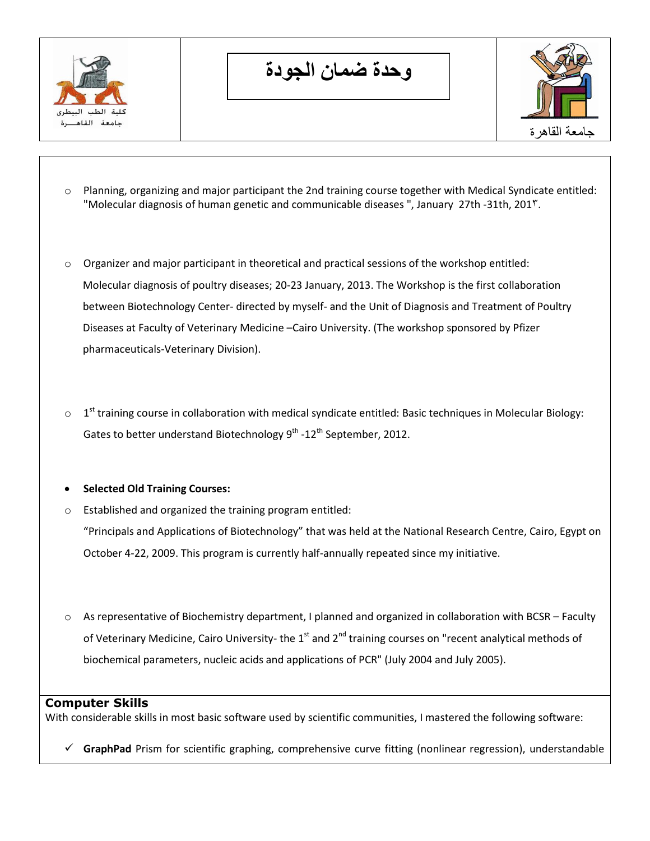

**وحدة ضمان الجودة**



- o Planning, organizing and major participant the 2nd training course together with Medical Syndicate entitled: "Molecular diagnosis of human genetic and communicable diseases", January 27th -31th, 201<sup>°</sup>.
- o Organizer and major participant in theoretical and practical sessions of the workshop entitled: Molecular diagnosis of poultry diseases; 20-23 January, 2013. The Workshop is the first collaboration between Biotechnology Center- directed by myself- and the Unit of Diagnosis and Treatment of Poultry Diseases at Faculty of Veterinary Medicine –Cairo University. (The workshop sponsored by Pfizer pharmaceuticals-Veterinary Division).
- $\circ$  1<sup>st</sup> training course in collaboration with medical syndicate entitled: Basic techniques in Molecular Biology: Gates to better understand Biotechnology 9<sup>th</sup> -12<sup>th</sup> September, 2012.
- **Selected Old Training Courses:**
- o Established and organized the training program entitled: "Principals and Applications of Biotechnology" that was held at the National Research Centre, Cairo, Egypt on October 4-22, 2009. This program is currently half-annually repeated since my initiative.
- $\circ$  As representative of Biochemistry department, I planned and organized in collaboration with BCSR Faculty of Veterinary Medicine, Cairo University- the  $1<sup>st</sup>$  and  $2<sup>nd</sup>$  training courses on "recent analytical methods of biochemical parameters, nucleic acids and applications of PCR" (July 2004 and July 2005).

## **Computer Skills**

With considerable skills in most basic software used by scientific communities, I mastered the following software:

 $\checkmark$  **GraphPad** Prism for scientific graphing, comprehensive curve fitting (nonlinear regression), understandable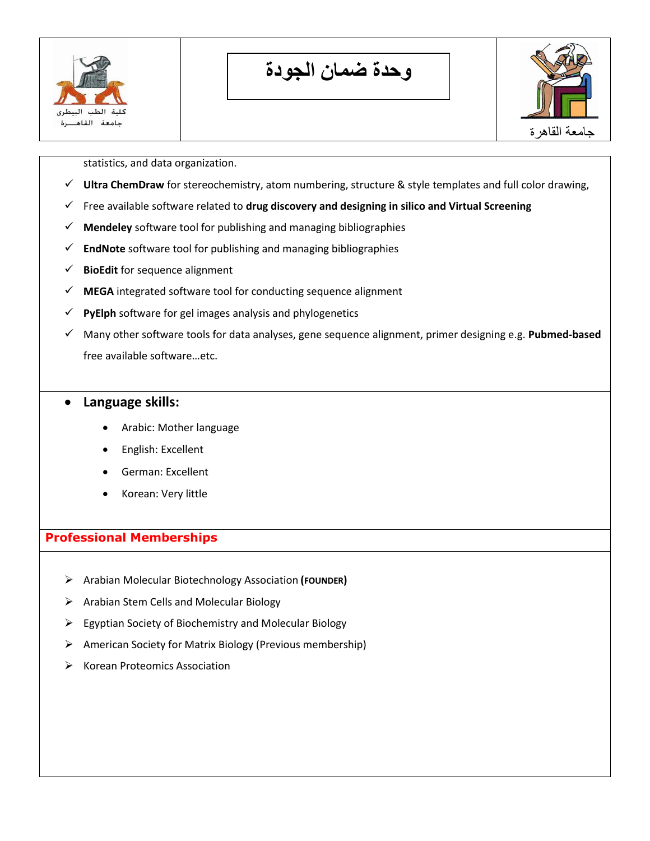

**وحدة ضمان الجودة**



statistics, and data organization.

- **Ultra ChemDraw** for stereochemistry, atom numbering, structure & style templates and full color drawing,
- Free available software related to **drug discovery and designing in silico and Virtual Screening**
- **Mendeley** software tool for publishing and managing bibliographies
- **EndNote** software tool for publishing and managing bibliographies
- **BioEdit** for sequence alignment
- **MEGA** integrated software tool for conducting sequence alignment
- $\checkmark$  **PyElph** software for gel images analysis and phylogenetics
- Many other software tools for data analyses, gene sequence alignment, primer designing e.g. **Pubmed-based** free available software…etc.

## **Language skills:**

- Arabic: Mother language
- English: Excellent
- German: Excellent
- Korean: Very little

## **Professional Memberships**

- Arabian Molecular Biotechnology Association **(FOUNDER)**
- $\triangleright$  Arabian Stem Cells and Molecular Biology
- $\triangleright$  Egyptian Society of Biochemistry and Molecular Biology
- American Society for Matrix Biology (Previous membership)
- $\triangleright$  Korean Proteomics Association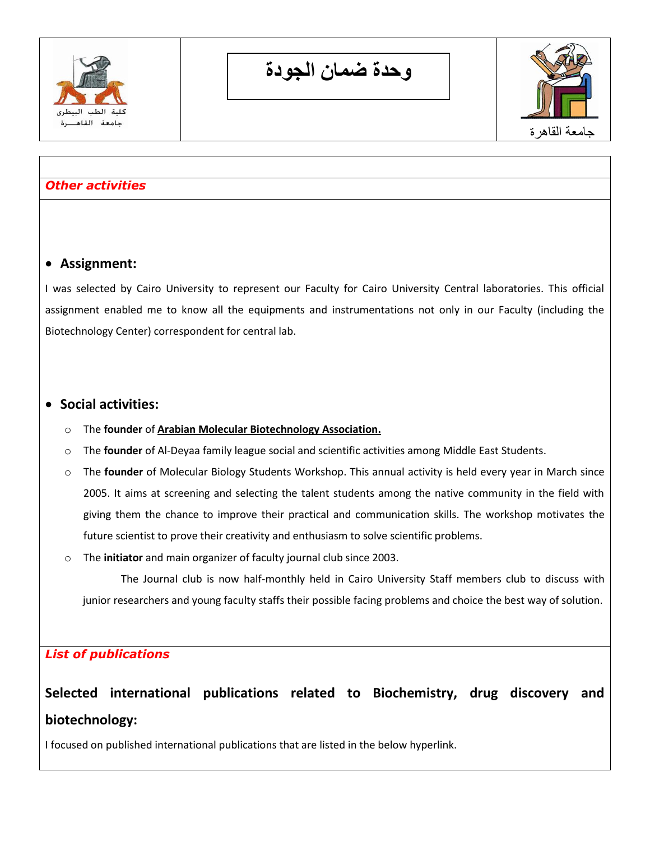

**وحدة ضمان الجودة**



## *Other activities*

## **Assignment:**

I was selected by Cairo University to represent our Faculty for Cairo University Central laboratories. This official assignment enabled me to know all the equipments and instrumentations not only in our Faculty (including the Biotechnology Center) correspondent for central lab.

## **Social activities:**

- o The **founder** of **Arabian Molecular Biotechnology Association.**
- o The **founder** of Al-Deyaa family league social and scientific activities among Middle East Students.
- o The **founder** of Molecular Biology Students Workshop. This annual activity is held every year in March since 2005. It aims at screening and selecting the talent students among the native community in the field with giving them the chance to improve their practical and communication skills. The workshop motivates the future scientist to prove their creativity and enthusiasm to solve scientific problems.
- o The **initiator** and main organizer of faculty journal club since 2003.

The Journal club is now half-monthly held in Cairo University Staff members club to discuss with junior researchers and young faculty staffs their possible facing problems and choice the best way of solution.

## *List of publications*

## **Selected international publications related to Biochemistry, drug discovery and biotechnology:**

I focused on published international publications that are listed in the below hyperlink.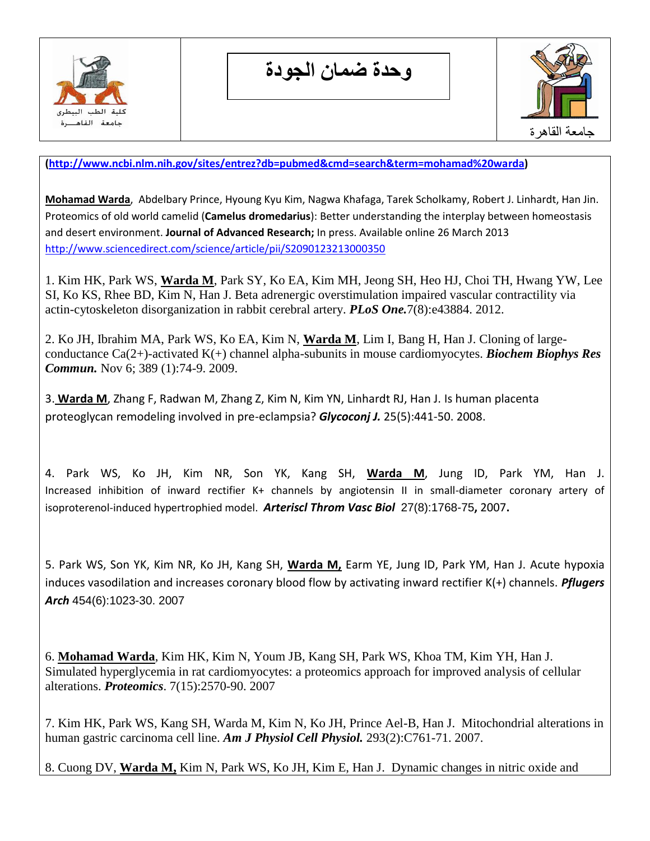

**وحدة ضمان الجودة**



**[\(http://www.ncbi.nlm.nih.gov/sites/entrez?db=pubmed&cmd=search&term=mohamad%20warda\)](http://www.ncbi.nlm.nih.gov/sites/entrez?db=pubmed&cmd=search&term=mohamad%20warda)**

**[Mohamad Warda](http://www.sciencedirect.com/science/article/pii/S2090123213000350)**, [Abdelbary Prince, Hyoung Kyu Kim, Nagwa Khafaga, Tarek Scholkamy, Robert J. Linhardt, Han Jin.](http://www.sciencedirect.com/science/article/pii/S2090123213000350) Proteomics of old world camelid (**Camelus dromedarius**): Better understanding the interplay between homeostasis and desert environment. **[Journal of Advanced Research;](http://www.sciencedirect.com/science/journal/20901232)** In press. Available online 26 March 2013 <http://www.sciencedirect.com/science/article/pii/S2090123213000350>

1. Kim HK, Park WS, **Warda M**, Park SY, Ko EA, Kim MH, Jeong SH, Heo HJ, Choi TH, Hwang YW, Lee SI, Ko KS, Rhee BD, Kim N, Han J. Beta adrenergic overstimulation impaired vascular contractility via actin-cytoskeleton disorganization in rabbit cerebral artery. *PLoS One.*7(8):e43884. 2012.

2. Ko JH, Ibrahim MA, Park WS, Ko EA, Kim N, **Warda M**, Lim I, Bang H, Han J. Cloning of largeconductance Ca(2+)-activated K(+) channel alpha-subunits in mouse cardiomyocytes. *Biochem Biophys Res Commun.* Nov 6; 389 (1):74-9. 2009.

3. **Warda M**, Zhang F, Radwan M, Zhang Z, Kim N, Kim YN, Linhardt RJ, Han J. [Is human placenta](http://www.ncbi.nlm.nih.gov/pubmed/18161024?ordinalpos=1&itool=EntrezSystem2.PEntrez.Pubmed.Pubmed_ResultsPanel.Pubmed_DefaultReportPanel.Pubmed_RVDocSum)  [proteoglycan remodeling involved in pre-eclampsia?](http://www.ncbi.nlm.nih.gov/pubmed/18161024?ordinalpos=1&itool=EntrezSystem2.PEntrez.Pubmed.Pubmed_ResultsPanel.Pubmed_DefaultReportPanel.Pubmed_RVDocSum) *Glycoconj J.* 25(5):441-50. 2008.

4. Park WS, Ko JH, Kim NR, Son YK, Kang SH, **Warda M**, Jung ID, Park YM, Han J. Increased inhibition of inward rectifier K+ channels by angiotensin II in small-diameter coronary artery of isoproterenol-induced hypertrophied model. *Arteriscl Throm Vasc Biol*27(8):1768-75**,** 2007**.**

5. Park WS, Son YK, Kim NR, Ko JH, Kang SH, **Warda M,** Earm YE, Jung ID, Park YM, Han J. [Acute hypoxia](http://www.ncbi.nlm.nih.gov/pubmed/17486361?ordinalpos=6&itool=EntrezSystem2.PEntrez.Pubmed.Pubmed_ResultsPanel.Pubmed_DefaultReportPanel.Pubmed_RVDocSum)  [induces vasodilation and increases coronary blood flow by activating inward rectifier K\(+\) channels.](http://www.ncbi.nlm.nih.gov/pubmed/17486361?ordinalpos=6&itool=EntrezSystem2.PEntrez.Pubmed.Pubmed_ResultsPanel.Pubmed_DefaultReportPanel.Pubmed_RVDocSum) *Pflugers Arch* 454(6):1023-30. 2007

6. **Mohamad Warda**, Kim HK, Kim N, Youm JB, Kang SH, Park WS, Khoa TM, Kim YH, Han J. [Simulated hyperglycemia in rat cardiomyocytes: a proteomics approach for improved analysis of cellular](http://www.ncbi.nlm.nih.gov/pubmed/17647226?ordinalpos=2&itool=EntrezSystem2.PEntrez.Pubmed.Pubmed_ResultsPanel.Pubmed_DefaultReportPanel.Pubmed_RVDocSum)  [alterations.](http://www.ncbi.nlm.nih.gov/pubmed/17647226?ordinalpos=2&itool=EntrezSystem2.PEntrez.Pubmed.Pubmed_ResultsPanel.Pubmed_DefaultReportPanel.Pubmed_RVDocSum) *Proteomics*. 7(15):2570-90. 2007

7. Kim HK, Park WS, Kang SH, Warda M, Kim N, Ko JH, Prince Ael-B, Han J. Mitochondrial alterations in human gastric carcinoma cell line. *Am J Physiol Cell Physiol.* 293(2):C761-71. 2007.

8. Cuong DV, **Warda M,** Kim N, Park WS, Ko JH, Kim E, Han J. [Dynamic changes in nitric oxide and](http://www.ncbi.nlm.nih.gov/pubmed/17545474?ordinalpos=3&itool=EntrezSystem2.PEntrez.Pubmed.Pubmed_ResultsPanel.Pubmed_DefaultReportPanel.Pubmed_RVDocSum)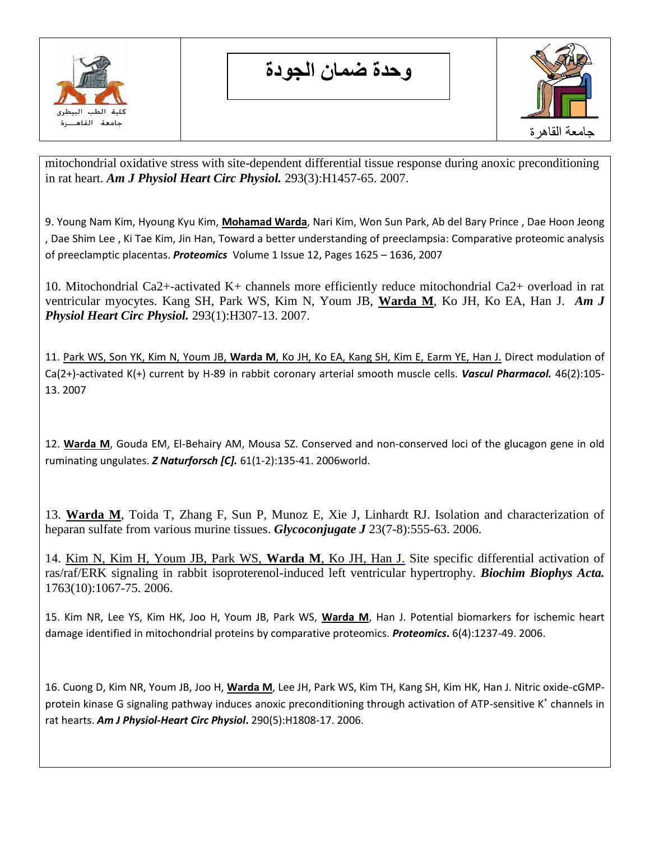

**وحدة ضمان الجودة**



[mitochondrial oxidative stress with site-dependent differential tissue response during anoxic preconditioning](http://www.ncbi.nlm.nih.gov/pubmed/17545474?ordinalpos=3&itool=EntrezSystem2.PEntrez.Pubmed.Pubmed_ResultsPanel.Pubmed_DefaultReportPanel.Pubmed_RVDocSum)  [in rat heart.](http://www.ncbi.nlm.nih.gov/pubmed/17545474?ordinalpos=3&itool=EntrezSystem2.PEntrez.Pubmed.Pubmed_ResultsPanel.Pubmed_DefaultReportPanel.Pubmed_RVDocSum) *Am J Physiol Heart Circ Physiol.* 293(3):H1457-65. 2007.

9. Young Nam Kim, Hyoung Kyu Kim, **Mohamad Warda**, Nari Kim, Won Sun Park, Ab del Bary Prince , Dae Hoon Jeong , Dae Shim Lee , Ki Tae Kim, Jin Han, Toward a better understanding of preeclampsia: Comparative proteomic analysis of preeclamptic placentas. *Proteomics* [Volume 1 Issue 12,](http://www3.interscience.wiley.com/journal/117356540/issue) Pages 1625 – 1636, 2007

10. Mitochondrial Ca2+-activated [K+ channels more efficiently reduce mitochondrial Ca2+ overload in rat](http://www.ncbi.nlm.nih.gov/pubmed/17351070?ordinalpos=7&itool=EntrezSystem2.PEntrez.Pubmed.Pubmed_ResultsPanel.Pubmed_DefaultReportPanel.Pubmed_RVDocSum)  [ventricular myocytes.](http://www.ncbi.nlm.nih.gov/pubmed/17351070?ordinalpos=7&itool=EntrezSystem2.PEntrez.Pubmed.Pubmed_ResultsPanel.Pubmed_DefaultReportPanel.Pubmed_RVDocSum) Kang SH, Park WS, Kim N, Youm JB, **Warda M**, Ko JH, Ko EA, Han J. *Am J Physiol Heart Circ Physiol.* 293(1):H307-13. 2007.

11. Park WS, Son YK, Kim N, Youm JB, **Warda M**[, Ko JH, Ko EA, Kang SH, Kim E, Earm YE, Han J.](http://www.ncbi.nlm.nih.gov/entrez/query.fcgi?db=pubmed&cmd=Retrieve&dopt=AbstractPlus&list_uids=17052962&query_hl=2&itool=pubmed_docsum) Direct modulation of Ca(2+)-activated K(+) current by H-89 in rabbit coronary arterial smooth muscle cells. *Vascul Pharmacol.* 46(2):105- 13. 2007

12. **Warda M**, Gouda EM, El-Behairy AM, Mousa SZ. Conserved and non-conserved loci of the glucagon gene in old ruminating ungulates. *Z Naturforsch [C].* 61(1-2):135-41. 2006world.

13. **Warda M**, Toida T, Zhang F, Sun P, Munoz E, Xie J, Linhardt RJ. Isolation and characterization of heparan sulfate from various murine tissues. *Glycoconjugate J* 23(7-8):555-63. 2006.

14. [Kim N, Kim H, Youm JB, Park WS,](http://www.ncbi.nlm.nih.gov/entrez/query.fcgi?db=pubmed&cmd=Retrieve&dopt=AbstractPlus&list_uids=16987560&query_hl=2&itool=pubmed_docsum) **Warda M**, Ko JH, Han J. Site specific differential activation of ras/raf/ERK signaling in rabbit isoproterenol-induced left ventricular hypertrophy. *Biochim Biophys Acta.* 1763(10):1067-75. 2006.

15. Kim NR, Lee YS, Kim HK, Joo H, Youm JB, Park WS, **Warda M**, Han J. Potential biomarkers for ischemic heart damage identified in mitochondrial proteins by comparative proteomics. *Proteomics***.** 6(4):1237-49. 2006.

16. Cuong D, Kim NR, Youm JB, Joo H, **Warda M**, Lee JH, Park WS, Kim TH, Kang SH, Kim HK, Han J. Nitric oxide-cGMPprotein kinase G signaling pathway induces anoxic preconditioning through activation of ATP-sensitive K<sup>+</sup> channels in rat hearts. *Am J Physiol-Heart Circ Physiol***.** 290(5):H1808-17. 2006.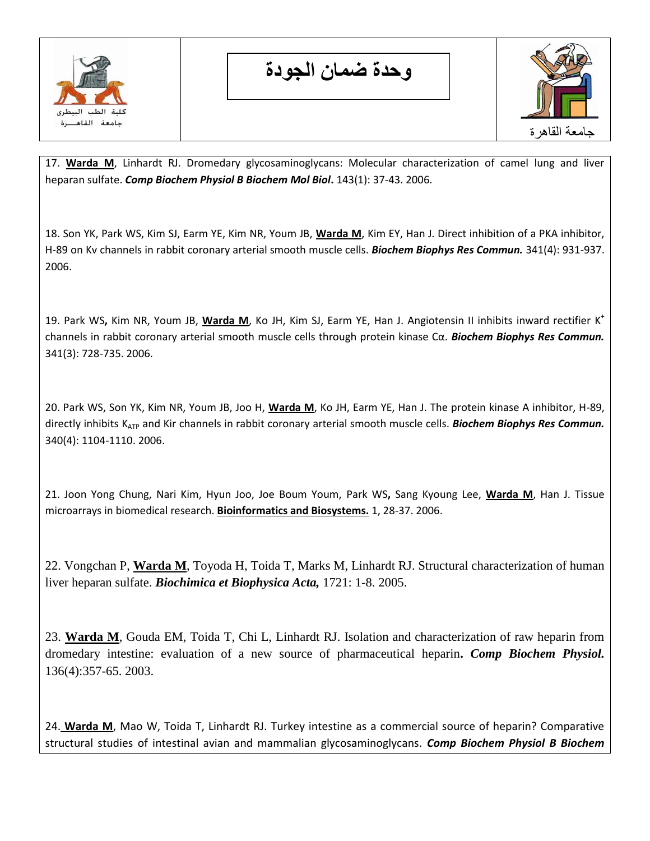

**وحدة ضمان الجودة**



17. **Warda M**, Linhardt RJ. Dromedary glycosaminoglycans: Molecular characterization of camel lung and liver heparan sulfate. *Comp Biochem Physiol B Biochem Mol Biol***.** 143(1): 37-43. 2006.

18. Son YK, Park WS, Kim SJ, Earm YE, Kim NR, Youm JB, **Warda M**, Kim EY, Han J. Direct inhibition of a PKA inhibitor, H-89 on Kv channels in rabbit coronary arterial smooth muscle cells. *Biochem Biophys Res Commun.* 341(4): 931-937. 2006.

19. Park WS**,** Kim NR, Youm JB, **Warda M**, Ko JH, Kim SJ, Earm YE, Han J. Angiotensin II inhibits inward rectifier K<sup>+</sup> channels in rabbit coronary arterial smooth muscle cells through protein kinase Cα. *Biochem Biophys Res Commun.* 341(3): 728-735. 2006.

20. Park WS, Son YK, Kim NR, Youm JB, Joo H, **Warda M**, Ko JH, Earm YE, Han J. The protein kinase A inhibitor, H-89, directly inhibits K<sub>ATP</sub> and Kir channels in rabbit coronary arterial smooth muscle cells. **Biochem Biophys Res Commun.** 340(4): 1104-1110. 2006.

21. Joon Yong Chung, Nari Kim, Hyun Joo, Joe Boum Youm, Park WS**,** Sang Kyoung Lee, **Warda M**, Han J. Tissue microarrays in biomedical research. **Bioinformatics and Biosystems.** 1, 28-37. 2006.

22. Vongchan P, **Warda M**, Toyoda H, Toida T, Marks M, Linhardt RJ. Structural characterization of human liver heparan sulfate. *Biochimica et Biophysica Acta,* 1721: 1-8. 2005.

23. **[Warda M](http://www.ncbi.nlm.nih.gov/pubmed?term=%22Warda%20M%22%5BAuthor%5D)**, [Gouda EM,](http://www.ncbi.nlm.nih.gov/pubmed?term=%22Gouda%20EM%22%5BAuthor%5D) [Toida T,](http://www.ncbi.nlm.nih.gov/pubmed?term=%22Toida%20T%22%5BAuthor%5D) [Chi L,](http://www.ncbi.nlm.nih.gov/pubmed?term=%22Chi%20L%22%5BAuthor%5D) [Linhardt RJ.](http://www.ncbi.nlm.nih.gov/pubmed?term=%22Linhardt%20RJ%22%5BAuthor%5D) Isolation and characterization of raw heparin from dromedary intestine: evaluation of a new source of pharmaceutical heparin**.** *[Comp Biochem Physiol.](http://www.ncbi.nlm.nih.gov/pubmed?term=mohamad%20warda%20heparin%20camel##)* 136(4):357-65. 2003.

24. **Warda M**, Mao W, Toida T, Linhardt RJ. Turkey intestine as a commercial source of heparin? Comparative structural studies of intestinal avian and mammalian glycosaminoglycans. *Comp Biochem Physiol B Biochem*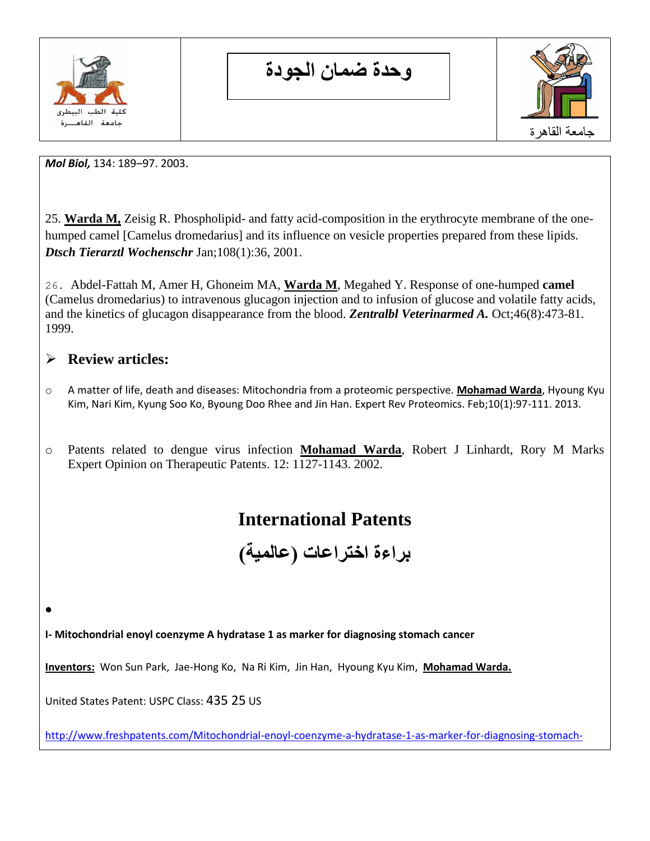

**وحدة ضمان الجودة**



*Mol Biol,* 134: 189–97. 2003.

25. **Warda M,** [Zeisig R.](http://www.ncbi.nlm.nih.gov/pubmed?term=%22Zeisig%20R%22%5BAuthor%5D) Phospholipid- and fatty acid-composition in the erythrocyte membrane of the onehumped camel [Camelus dromedarius] and its influence on vesicle properties prepared from these lipids. *Dtsch Tierarztl Wochenschr* Jan;108(1):36, 2001.

26. Abdel-Fattah M, Amer H, Ghoneim MA, **Warda M**, Megahed Y. Response of one-humped **camel** (Camelus dromedarius) to intravenous glucagon injection and to infusion of glucose and volatile fatty acids, and the kinetics of glucagon disappearance from the blood. *Zentralbl Veterinarmed A.* Oct;46(8):473-81. 1999.

## **Review articles:**

 $\bullet$ 

- o A matter of life, death and diseases: Mitochondria from a proteomic perspective. **Mohamad Warda**, Hyoung Kyu Kim, Nari Kim, Kyung Soo Ko, Byoung Doo Rhee and Jin Han. Expert Rev Proteomics. Feb;10(1):97-111. 2013.
- o Patents related to dengue virus infection **Mohamad Warda**, Robert J Linhardt, Rory M Marks Expert Opinion on Therapeutic Patents. 12: 1127-1143. 2002.

# **International Patents**

**براءة اختراعات )عالمية(** 

**I- Mitochondrial enoyl coenzyme A hydratase 1 as marker for diagnosing stomach cancer** 

**Inventors:** Won Sun Park, Jae-Hong Ko, Na Ri Kim, Jin Han, Hyoung Kyu Kim, **Mohamad Warda.**

United States Patent: USPC Class: 435 25 US

[http://www.freshpatents.com/Mitochondrial-enoyl-coenzyme-a-hydratase-1-as-marker-for-diagnosing-stomach-](http://www.freshpatents.com/Mitochondrial-enoyl-coenzyme-a-hydratase-1-as-marker-for-diagnosing-stomach-cancer-dt20080904ptan20080213816.php)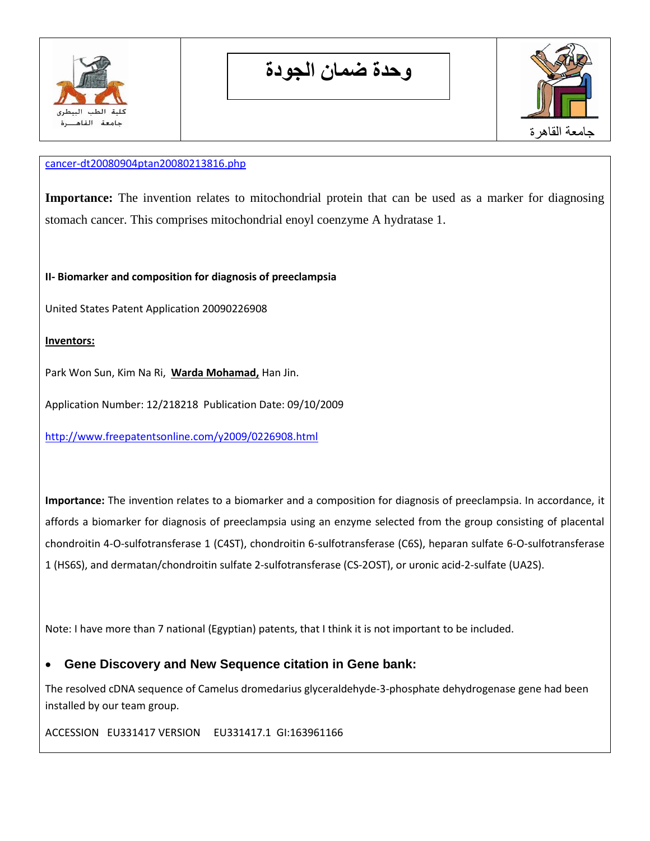

**وحدة ضمان الجودة**



#### [cancer-dt20080904ptan20080213816.php](http://www.freshpatents.com/Mitochondrial-enoyl-coenzyme-a-hydratase-1-as-marker-for-diagnosing-stomach-cancer-dt20080904ptan20080213816.php)

**Importance:** The invention relates to mitochondrial protein that can be used as a marker for diagnosing stomach cancer. This comprises mitochondrial enoyl coenzyme A hydratase 1.

**II- Biomarker and composition for diagnosis of preeclampsia** 

United States Patent Application 20090226908

#### **Inventors:**

Park Won Sun, Kim Na Ri, **Warda Mohamad,** Han Jin.

Application Number: 12/218218 Publication Date: 09/10/2009

<http://www.freepatentsonline.com/y2009/0226908.html>

**Importance:** The invention relates to a biomarker and a composition for diagnosis of preeclampsia. In accordance, it affords a biomarker for diagnosis of preeclampsia using an enzyme selected from the group consisting of placental chondroitin 4-O-sulfotransferase 1 (C4ST), chondroitin 6-sulfotransferase (C6S), heparan sulfate 6-O-sulfotransferase 1 (HS6S), and dermatan/chondroitin sulfate 2-sulfotransferase (CS-2OST), or uronic acid-2-sulfate (UA2S).

Note: I have more than 7 national (Egyptian) patents, that I think it is not important to be included.

## **Gene Discovery and New Sequence citation in Gene bank:**

The resolved cDNA sequence of Camelus dromedarius glyceraldehyde-3-phosphate dehydrogenase gene had been installed by our team group.

ACCESSION EU331417 VERSION EU331417.1 GI:163961166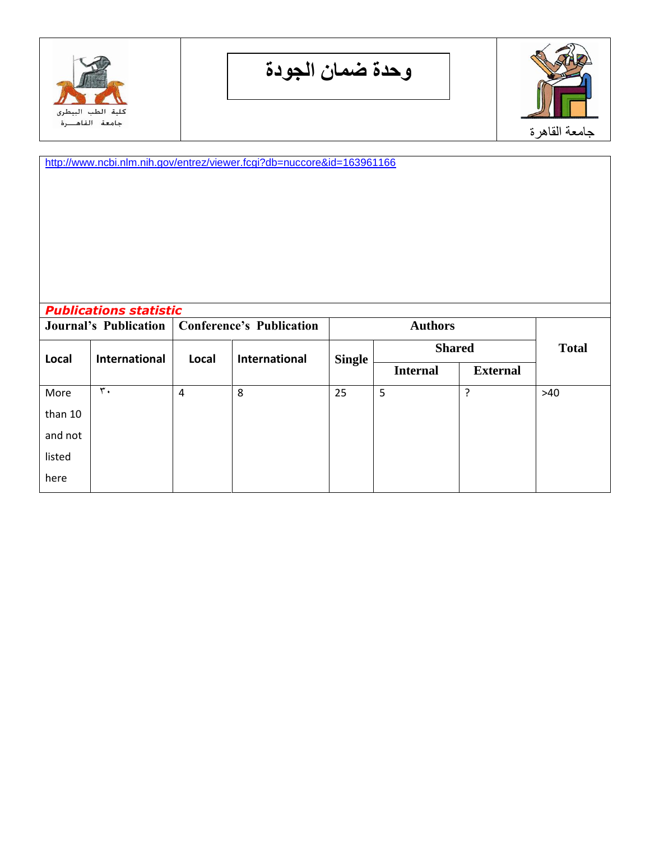

**وحدة ضمان الجودة**



<http://www.ncbi.nlm.nih.gov/entrez/viewer.fcgi?db=nuccore&id=163961166>

| <b>Publications statistic</b><br><b>Journal's Publication</b> |                      | <b>Conference's Publication</b> |                      | <b>Authors</b> |                 |                 |              |
|---------------------------------------------------------------|----------------------|---------------------------------|----------------------|----------------|-----------------|-----------------|--------------|
| Local                                                         | <b>International</b> | Local                           | <b>International</b> | <b>Single</b>  | <b>Shared</b>   |                 | <b>Total</b> |
|                                                               |                      |                                 |                      |                | <b>Internal</b> | <b>External</b> |              |
| More                                                          | $\mathbf{r}$ .       | 4                               | 8                    | 25             | 5               | ?               | >40          |
| than 10                                                       |                      |                                 |                      |                |                 |                 |              |
| and not                                                       |                      |                                 |                      |                |                 |                 |              |
| listed                                                        |                      |                                 |                      |                |                 |                 |              |
| here                                                          |                      |                                 |                      |                |                 |                 |              |